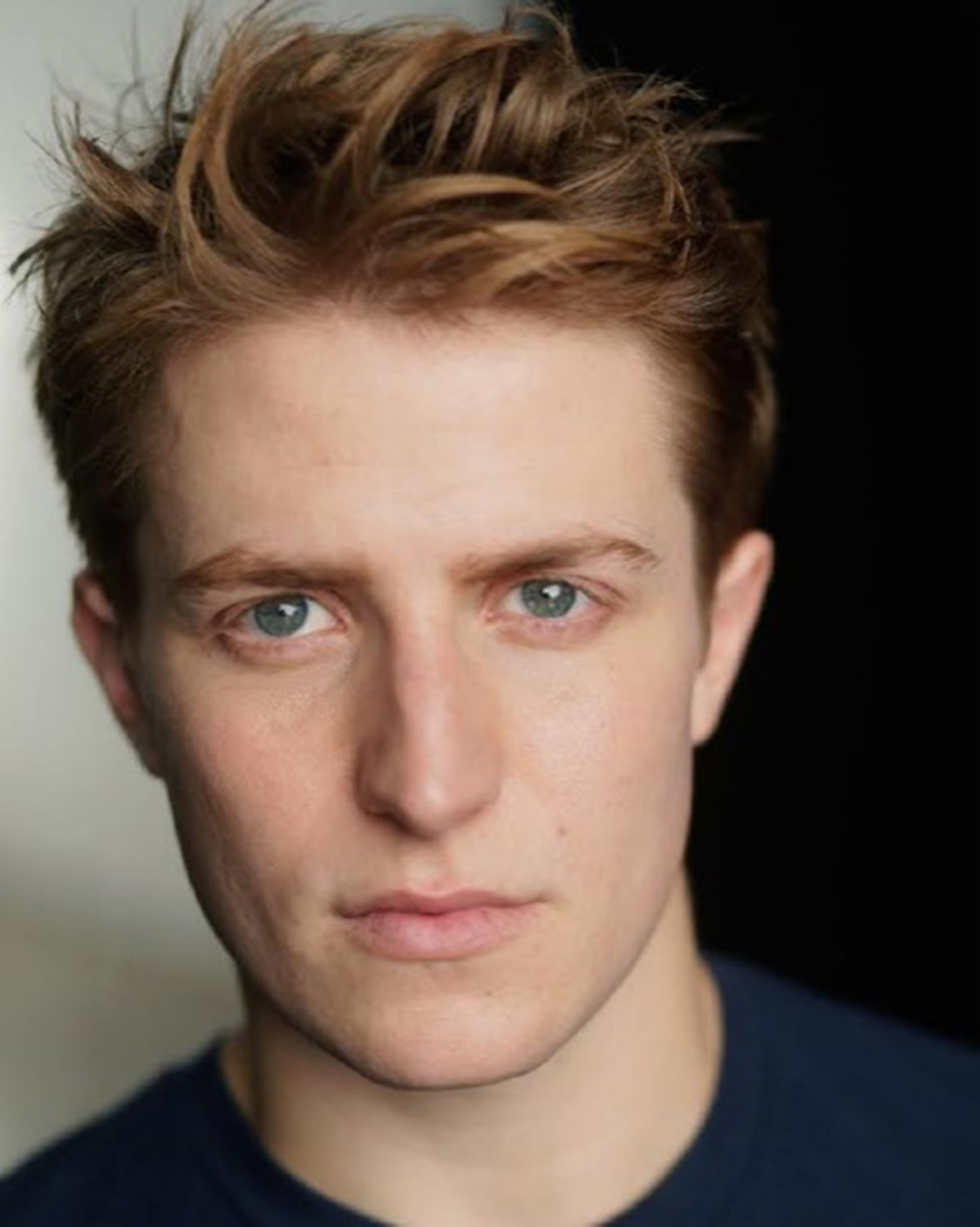